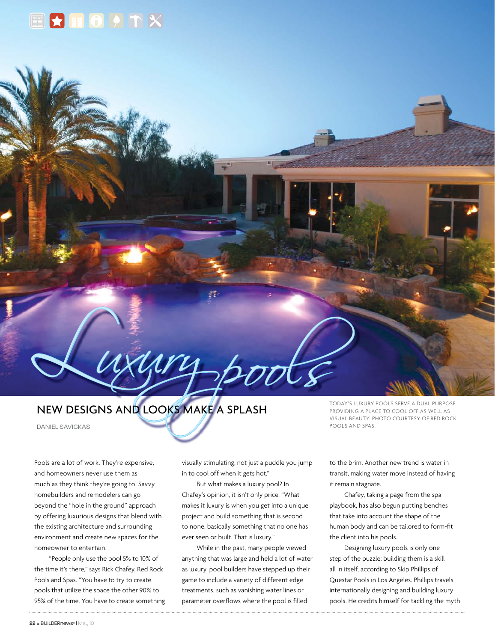

## New designs and looks make a splash

Luxury pools

Daniel Savickas

Pools are a lot of work. They're expensive, and homeowners never use them as much as they think they're going to. Savvy homebuilders and remodelers can go beyond the "hole in the ground" approach by offering luxurious designs that blend with the existing architecture and surrounding environment and create new spaces for the homeowner to entertain.

"People only use the pool 5% to 10% of the time it's there," says Rick Chafey, Red Rock Pools and Spas. "You have to try to create pools that utilize the space the other 90% to 95% of the time. You have to create something visually stimulating, not just a puddle you jump in to cool off when it gets hot."

But what makes a luxury pool? In Chafey's opinion, it isn't only price. "What makes it luxury is when you get into a unique project and build something that is second to none, basically something that no one has ever seen or built. That is luxury."

While in the past, many people viewed anything that was large and held a lot of water as luxury, pool builders have stepped up their game to include a variety of different edge treatments, such as vanishing water lines or parameter overflows where the pool is filled

Today's luxury pools serve a dual purpose: providing a place to cool off as well as visual beauty. Photo courtesy of Red Rock Pools and Spas.

to the brim. Another new trend is water in transit, making water move instead of having it remain stagnate.

Chafey, taking a page from the spa playbook, has also begun putting benches that take into account the shape of the human body and can be tailored to form-fit the client into his pools.

Designing luxury pools is only one step of the puzzle; building them is a skill all in itself, according to Skip Phillips of Questar Pools in Los Angeles. Phillips travels internationally designing and building luxury pools. He credits himself for tackling the myth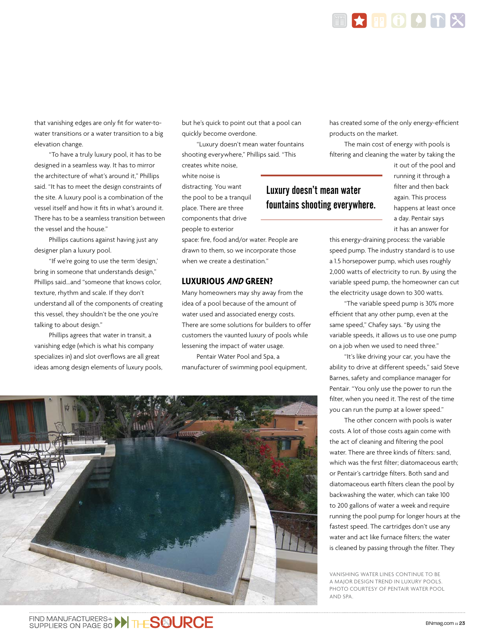

Luxury doesn't mean water

fountains shooting everywhere.

that vanishing edges are only fit for water-towater transitions or a water transition to a big elevation change.

"To have a truly luxury pool, it has to be designed in a seamless way. It has to mirror the architecture of what's around it," Phillips said. "It has to meet the design constraints of the site. A luxury pool is a combination of the vessel itself and how it fits in what's around it. There has to be a seamless transition between the vessel and the house."

Phillips cautions against having just any designer plan a luxury pool.

"If we're going to use the term 'design,' bring in someone that understands design," Phillips said…and "someone that knows color, texture, rhythm and scale. If they don't understand all of the components of creating this vessel, they shouldn't be the one you're talking to about design."

Phillips agrees that water in transit, a vanishing edge (which is what his company specializes in) and slot overflows are all great ideas among design elements of luxury pools, but he's quick to point out that a pool can quickly become overdone.

"Luxury doesn't mean water fountains shooting everywhere," Phillips said. "This

creates white noise, white noise is distracting. You want the pool to be a tranquil place. There are three components that drive people to exterior

space: fire, food and/or water. People are drawn to them, so we incorporate those when we create a destination."

## **Luxurious and green?**

Many homeowners may shy away from the idea of a pool because of the amount of water used and associated energy costs. There are some solutions for builders to offer customers the vaunted luxury of pools while lessening the impact of water usage.

Pentair Water Pool and Spa, a manufacturer of swimming pool equipment,



has created some of the only energy-efficient products on the market.

E APOPTX

The main cost of energy with pools is filtering and cleaning the water by taking the

> it out of the pool and running it through a filter and then back again. This process happens at least once a day. Pentair says it has an answer for

this energy-draining process: the variable speed pump. The industry standard is to use a 1.5 horsepower pump, which uses roughly 2,000 watts of electricity to run. By using the variable speed pump, the homeowner can cut the electricity usage down to 300 watts.

"The variable speed pump is 30% more efficient that any other pump, even at the same speed," Chafey says. "By using the variable speeds, it allows us to use one pump on a job when we used to need three."

"It's like driving your car, you have the ability to drive at different speeds," said Steve Barnes, safety and compliance manager for Pentair. "You only use the power to run the filter, when you need it. The rest of the time you can run the pump at a lower speed."

The other concern with pools is water costs. A lot of those costs again come with the act of cleaning and filtering the pool water. There are three kinds of filters: sand, which was the first filter; diatomaceous earth; or Pentair's cartridge filters. Both sand and diatomaceous earth filters clean the pool by backwashing the water, which can take 100 to 200 gallons of water a week and require running the pool pump for longer hours at the fastest speed. The cartridges don't use any water and act like furnace filters; the water is cleaned by passing through the filter. They

Vanishing water lines continue to be a major design trend in luxury pools. Photo courtesy of Pentair Water Pool and Spa.